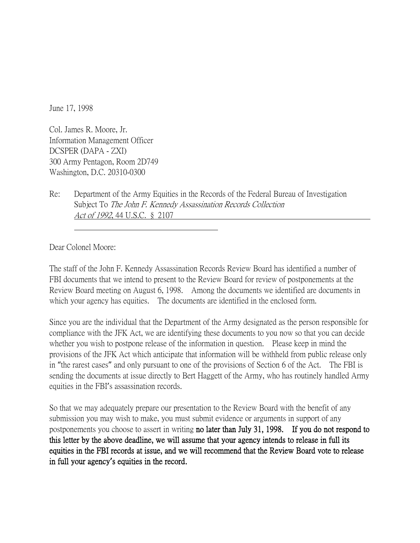June 17, 1998

Col. James R. Moore, Jr. Information Management Officer DCSPER (DAPA - ZXI) 300 Army Pentagon, Room 2D749 Washington, D.C. 20310-0300

Re: Department of the Army Equities in the Records of the Federal Bureau of Investigation Subject To The John F. Kennedy Assassination Records Collection Act of 1992, 44 U.S.C. § 2107

Dear Colonel Moore:

The staff of the John F. Kennedy Assassination Records Review Board has identified a number of FBI documents that we intend to present to the Review Board for review of postponements at the Review Board meeting on August 6, 1998. Among the documents we identified are documents in which your agency has equities. The documents are identified in the enclosed form.

Since you are the individual that the Department of the Army designated as the person responsible for compliance with the JFK Act, we are identifying these documents to you now so that you can decide whether you wish to postpone release of the information in question. Please keep in mind the provisions of the JFK Act which anticipate that information will be withheld from public release only in "the rarest cases" and only pursuant to one of the provisions of Section 6 of the Act. The FBI is sending the documents at issue directly to Bert Haggett of the Army, who has routinely handled Army equities in the FBI's assassination records.

So that we may adequately prepare our presentation to the Review Board with the benefit of any submission you may wish to make, you must submit evidence or arguments in support of any postponements you choose to assert in writing no later than July 31, 1998. If you do not respond to this letter by the above deadline, we will assume that your agency intends to release in full its equities in the FBI records at issue, and we will recommend that the Review Board vote to release in full your agency**'**s equities in the record.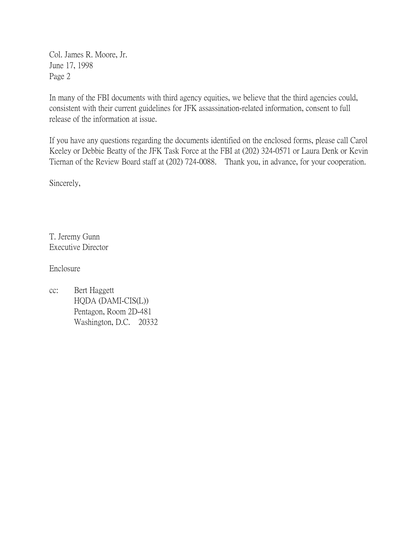Col. James R. Moore, Jr. June 17, 1998 Page 2

In many of the FBI documents with third agency equities, we believe that the third agencies could, consistent with their current guidelines for JFK assassination-related information, consent to full release of the information at issue.

If you have any questions regarding the documents identified on the enclosed forms, please call Carol Keeley or Debbie Beatty of the JFK Task Force at the FBI at (202) 324-0571 or Laura Denk or Kevin Tiernan of the Review Board staff at (202) 724-0088. Thank you, in advance, for your cooperation.

Sincerely,

T. Jeremy Gunn Executive Director

Enclosure

cc: Bert Haggett HQDA (DAMI-CIS(L)) Pentagon, Room 2D-481 Washington, D.C. 20332